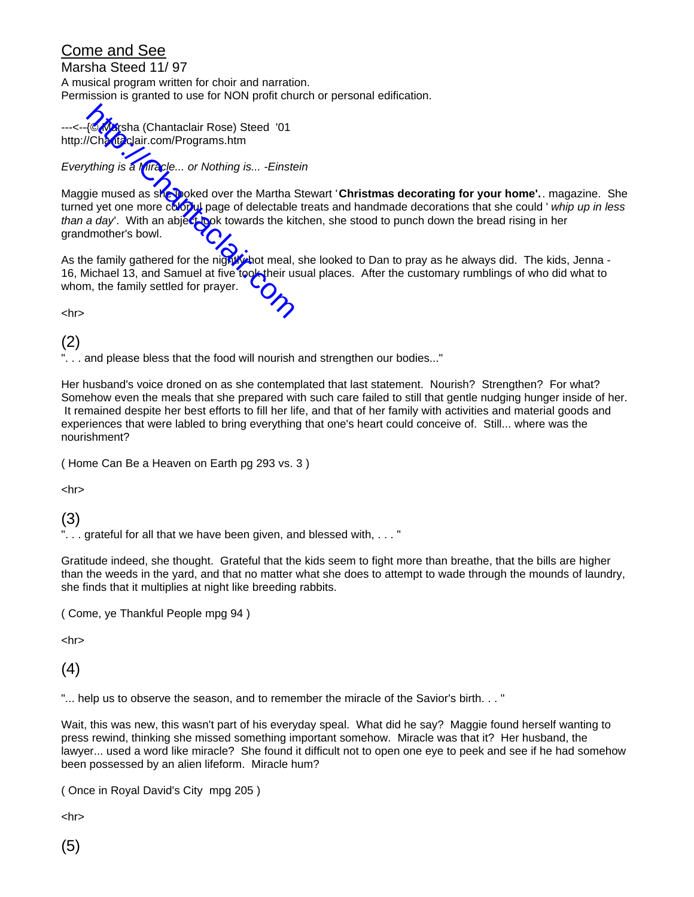## Come and See

Marsha Steed 11/ 97

A musical program written for choir and narration. Permission is granted to use for NON profit church or personal edification.

---<--{© Marsha (Chantaclair Rose) Steed '01 http://Chantaclair.com/Programs.htm

*Everything is a Miracle... or Nothing is... -Einstein*

Maggie mused as she looked over the Martha Stewart 'Christmas decorating for your home'.. magazine. She turned yet one more colorul page of delectable treats and handmade decorations that she could ' *whip up in less* than a day'. With an abject look towards the kitchen, she stood to punch down the bread rising in her grandmother's bowl. Alexandrian (Chantaclair Rose) Steed '01<br>
Chantaclair com/Programs.htm<br>
wthing is a Miracle... or Nothing is... - Einste<br>
gie mused as showed over the Martha &<br>
d yet one more color by page of delectable<br>
a day'. With an a

As the family gathered for the night whot meal, she looked to Dan to pray as he always did. The kids, Jenna -16, Michael 13, and Samuel at five took their usual places. After the customary rumblings of who did what to whom, the family settled for prayer.

<hr>

(2)

... and please bless that the food will nourish and strengthen our bodies..."

Her husband's voice droned on as she contemplated that last statement. Nourish? Strengthen? For what? Somehow even the meals that she prepared with such care failed to still that gentle nudging hunger inside of her. It remained despite her best efforts to fill her life, and that of her family with activities and material goods and experiences that were labled to bring everything that one's heart could conceive of. Still... where was the nourishment?

( Home Can Be a Heaven on Earth pg 293 vs. 3 )

<hr>

(3)

.. grateful for all that we have been given, and blessed with, ..."

Gratitude indeed, she thought. Grateful that the kids seem to fight more than breathe, that the bills are higher than the weeds in the yard, and that no matter what she does to attempt to wade through the mounds of laundry, she finds that it multiplies at night like breeding rabbits.

( Come, ye Thankful People mpg 94 )

<hr>

(4)

"... help us to observe the season, and to remember the miracle of the Savior's birth. . . "

Wait, this was new, this wasn't part of his everyday speal. What did he say? Maggie found herself wanting to press rewind, thinking she missed something important somehow. Miracle was that it? Her husband, the lawyer... used a word like miracle? She found it difficult not to open one eye to peek and see if he had somehow been possessed by an alien lifeform. Miracle hum?

( Once in Royal David's City mpg 205 )

<hr>

(5)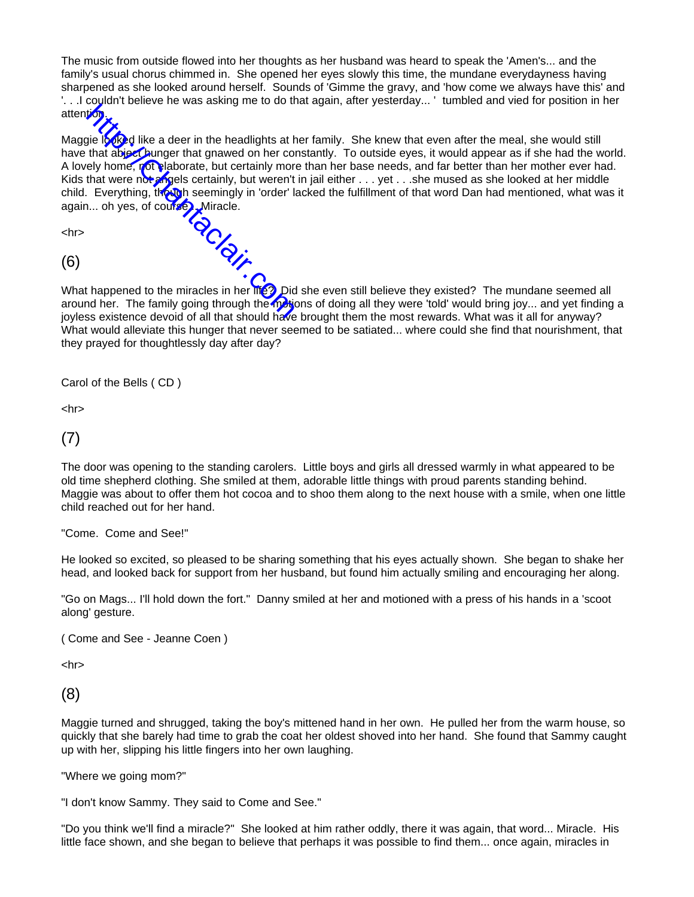The music from outside flowed into her thoughts as her husband was heard to speak the 'Amen's... and the family's usual chorus chimmed in. She opened her eyes slowly this time, the mundane everydayness having sharpened as she looked around herself. Sounds of 'Gimme the gravy, and 'how come we always have this' and '. . .I couldn't believe he was asking me to do that again, after yesterday... ' tumbled and vied for position in her attention.

Maggie looked like a deer in the headlights at her family. She knew that even after the meal, she would still have that abject hunger that gnawed on her constantly. To outside eyes, it would appear as if she had the world. A lovely home, not elaborate, but certainly more than her base needs, and far better than her mother ever had. Kids that were not angels certainly, but weren't in jail either  $\dots$  yet  $\dots$  she mused as she looked at her middle child. Everything, though seemingly in 'order' lacked the fulfillment of that word Dan had mentioned, what was it again... oh yes, of course... Miracle. are the family going through the motions of all the family. She knew that even after the meal, she would still<br>have that abject bunger that gnawed on her constantly. To outside eyes, it would appear as if she had the world

<hr>

(6)

What happened to the miracles in her life? Did she even still believe they existed? The mundane seemed all joyless existence devoid of all that should have brought them the most rewards. What was it all for anyway? What would alleviate this hunger that never seemed to be satiated... where could she find that nourishment, that they prayed for thoughtlessly day after day?

Carol of the Bells ( CD )

<hr>

(7)

The door was opening to the standing carolers. Little boys and girls all dressed warmly in what appeared to be old time shepherd clothing. She smiled at them, adorable little things with proud parents standing behind. Maggie was about to offer them hot cocoa and to shoo them along to the next house with a smile, when one little child reached out for her hand.

"Come. Come and See!"

He looked so excited, so pleased to be sharing something that his eyes actually shown. She began to shake her head, and looked back for support from her husband, but found him actually smiling and encouraging her along.

"Go on Mags... I'll hold down the fort." Danny smiled at her and motioned with a press of his hands in a 'scoot along' gesture.

( Come and See - Jeanne Coen )

<hr>

(8)

Maggie turned and shrugged, taking the boy's mittened hand in her own. He pulled her from the warm house, so quickly that she barely had time to grab the coat her oldest shoved into her hand. She found that Sammy caught up with her, slipping his little fingers into her own laughing.

"Where we going mom?"

"I don't know Sammy. They said to Come and See."

"Do you think we'll find a miracle?" She looked at him rather oddly, there it was again, that word... Miracle. His little face shown, and she began to believe that perhaps it was possible to find them... once again, miracles in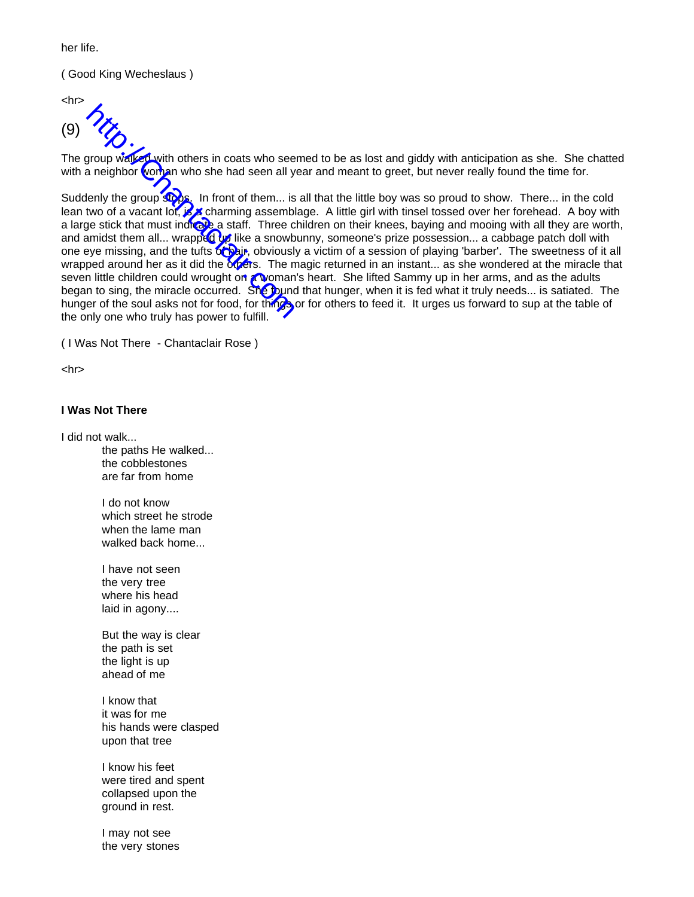her life.

( Good King Wecheslaus )

<hr>

(9)

The group walked with others in coats who seemed to be as lost and giddy with anticipation as she. She chatted with a neighbor woman who she had seen all year and meant to greet, but never really found the time for.

Suddenly the group stops. In front of them... is all that the little boy was so proud to show. There... in the cold lean two of a vacant lot, is a charming assemblage. A little girl with tinsel tossed over her forehead. A boy with a large stick that must indicate a staff. Three children on their knees, baying and mooing with all they are worth, and amidst them all... wrapped by like a snowbunny, someone's prize possession... a cabbage patch doll with one eye missing, and the tufts **on hair**, obviously a victim of a session of playing 'barber'. The sweetness of it all wrapped around her as it did the others. The magic returned in an instant... as she wondered at the miracle that seven little children could wrought on a woman's heart. She lifted Sammy up in her arms, and as the adults began to sing, the miracle occurred. She found that hunger, when it is fed what it truly needs... is satiated. The hunger of the soul asks not for food, for things or for others to feed it. It urges us forward to sup at the table of the only one who truly has power to fulfill. A<br>
How walked with others in coats who see<br>
a neighbor woman who she had seen all y<br>
lenly the group stock in front of them... is<br>
two of a vacant lot, is<br>
a charming assembly<br>
ge stick that must indicate a staff. Three c<br>

( I Was Not There - Chantaclair Rose )

<hr>

## **I Was Not There**

I did not walk...

the paths He walked... the cobblestones are far from home

I do not know which street he strode when the lame man walked back home...

I have not seen the very tree where his head laid in agony....

But the way is clear the path is set the light is up ahead of me

I know that it was for me his hands were clasped upon that tree

I know his feet were tired and spent collapsed upon the ground in rest.

I may not see the very stones